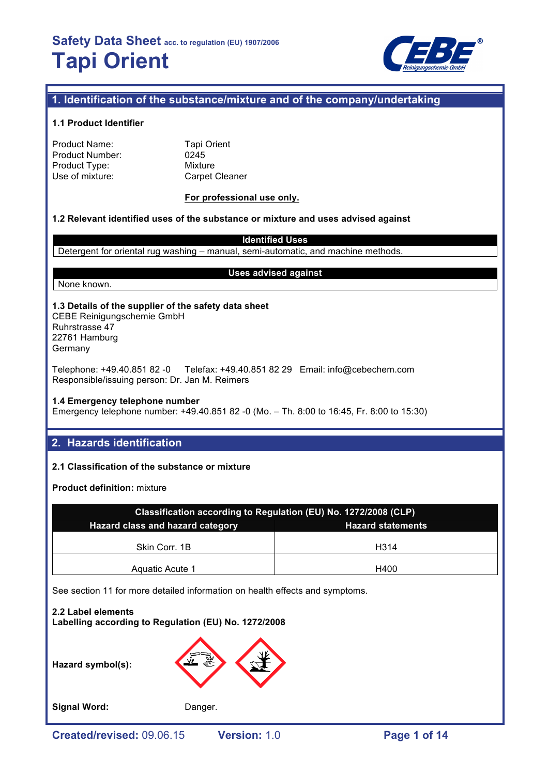

# **1. Identification of the substance/mixture and of the company/undertaking**

## **1.1 Product Identifier**

| <b>Product Name:</b>   |  |
|------------------------|--|
| <b>Product Number:</b> |  |
| Product Type:          |  |
| Use of mixture:        |  |

**Tapi Orient** 0245 **Mixture** Carpet Cleaner

## **For professional use only.**

# **1.2 Relevant identified uses of the substance or mixture and uses advised against**

**Identified Uses**

Detergent for oriental rug washing – manual, semi-automatic, and machine methods.

None known.

#### **Uses advised against**

**1.3 Details of the supplier of the safety data sheet** CEBE Reinigungschemie GmbH Ruhrstrasse 47 22761 Hamburg

Germany

Telephone: +49.40.851 82 -0 Telefax: +49.40.851 82 29 Email: info@cebechem.com Responsible/issuing person: Dr. Jan M. Reimers

#### **1.4 Emergency telephone number**

Emergency telephone number: +49.40.851 82 -0 (Mo. – Th. 8:00 to 16:45, Fr. 8:00 to 15:30)

# **2. Hazards identification**

# **2.1 Classification of the substance or mixture**

**Product definition:** mixture

| Classification according to Regulation (EU) No. 1272/2008 (CLP)     |      |  |  |  |
|---------------------------------------------------------------------|------|--|--|--|
| <b>Hazard class and hazard category</b><br><b>Hazard statements</b> |      |  |  |  |
| Skin Corr. 1B                                                       | H314 |  |  |  |
| Aquatic Acute 1                                                     | H400 |  |  |  |

See section 11 for more detailed information on health effects and symptoms.

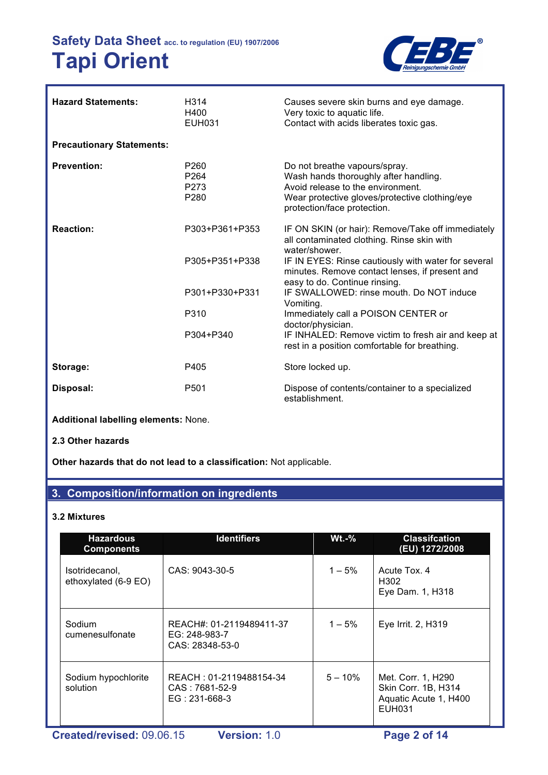

| <b>Hazard Statements:</b>        | H <sub>3</sub> 14<br>H400<br>EUH031                              | Causes severe skin burns and eye damage.<br>Very toxic to aquatic life.<br>Contact with acids liberates toxic gas.                                                                           |
|----------------------------------|------------------------------------------------------------------|----------------------------------------------------------------------------------------------------------------------------------------------------------------------------------------------|
| <b>Precautionary Statements:</b> |                                                                  |                                                                                                                                                                                              |
| <b>Prevention:</b>               | P <sub>260</sub><br>P <sub>264</sub><br>P <sub>273</sub><br>P280 | Do not breathe vapours/spray.<br>Wash hands thoroughly after handling.<br>Avoid release to the environment.<br>Wear protective gloves/protective clothing/eye<br>protection/face protection. |
| <b>Reaction:</b>                 | P303+P361+P353                                                   | IF ON SKIN (or hair): Remove/Take off immediately<br>all contaminated clothing. Rinse skin with<br>water/shower.                                                                             |
|                                  | P305+P351+P338                                                   | IF IN EYES: Rinse cautiously with water for several<br>minutes. Remove contact lenses, if present and<br>easy to do. Continue rinsing.                                                       |
|                                  | P301+P330+P331                                                   | IF SWALLOWED: rinse mouth. Do NOT induce<br>Vomiting.                                                                                                                                        |
|                                  | P310                                                             | Immediately call a POISON CENTER or<br>doctor/physician.                                                                                                                                     |
|                                  | P304+P340                                                        | IF INHALED: Remove victim to fresh air and keep at<br>rest in a position comfortable for breathing.                                                                                          |
| Storage:                         | P405                                                             | Store locked up.                                                                                                                                                                             |
| Disposal:                        | P <sub>501</sub>                                                 | Dispose of contents/container to a specialized<br>establishment.                                                                                                                             |

**Additional labelling elements:** None.

# **2.3 Other hazards**

**Other hazards that do not lead to a classification:** Not applicable.

# **3. Composition/information on ingredients**

### **3.2 Mixtures**

| <b>Hazardous</b><br><b>Components</b>  | <b>Identifiers</b>                                           | $Wt.-%$    | <b>Classifcation</b><br>(EU) 1272/2008                                       |
|----------------------------------------|--------------------------------------------------------------|------------|------------------------------------------------------------------------------|
| Isotridecanol,<br>ethoxylated (6-9 EO) | CAS: 9043-30-5                                               | $1 - 5%$   | Acute Tox, 4<br>H <sub>302</sub><br>Eye Dam. 1, H318                         |
| Sodium<br>cumenesulfonate              | REACH#: 01-2119489411-37<br>EG: 248-983-7<br>CAS: 28348-53-0 | $1 - 5\%$  | Eye Irrit. 2, H319                                                           |
| Sodium hypochlorite<br>solution        | REACH: 01-2119488154-34<br>CAS: 7681-52-9<br>$EG: 231-668-3$ | $5 - 10\%$ | Met. Corr. 1, H290<br>Skin Corr. 1B, H314<br>Aquatic Acute 1, H400<br>EUH031 |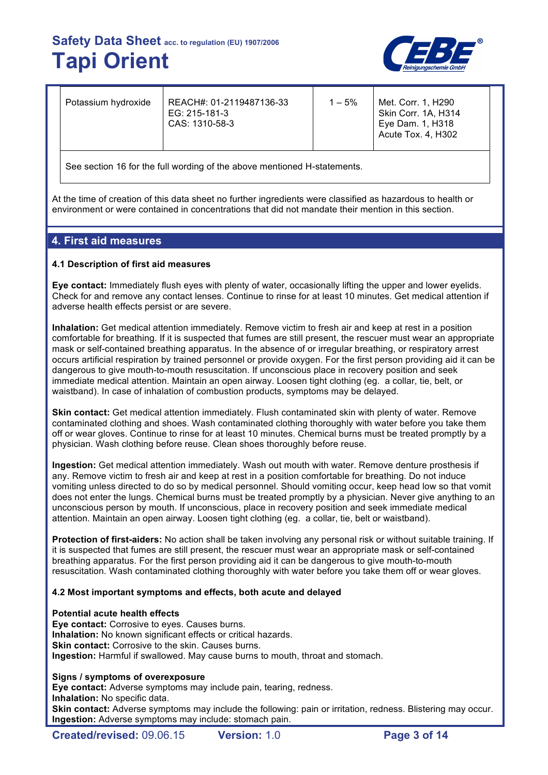

| Potassium hydroxide                                                      | REACH#: 01-2119487136-33<br>EG: 215-181-3<br>CAS: 1310-58-3 | $1 - 5\%$ | Met. Corr. 1, H290<br>Skin Corr. 1A, H314<br>Eye Dam. 1, H318<br>Acute Tox. 4, H302 |  |  |  |
|--------------------------------------------------------------------------|-------------------------------------------------------------|-----------|-------------------------------------------------------------------------------------|--|--|--|
| See section 16 for the full wording of the above mentioned H-statements. |                                                             |           |                                                                                     |  |  |  |

At the time of creation of this data sheet no further ingredients were classified as hazardous to health or environment or were contained in concentrations that did not mandate their mention in this section.

# **4. First aid measures**

## **4.1 Description of first aid measures**

**Eye contact:** Immediately flush eyes with plenty of water, occasionally lifting the upper and lower eyelids. Check for and remove any contact lenses. Continue to rinse for at least 10 minutes. Get medical attention if adverse health effects persist or are severe.

**Inhalation:** Get medical attention immediately. Remove victim to fresh air and keep at rest in a position comfortable for breathing. If it is suspected that fumes are still present, the rescuer must wear an appropriate mask or self-contained breathing apparatus. In the absence of or irregular breathing, or respiratory arrest occurs artificial respiration by trained personnel or provide oxygen. For the first person providing aid it can be dangerous to give mouth-to-mouth resuscitation. If unconscious place in recovery position and seek immediate medical attention. Maintain an open airway. Loosen tight clothing (eg. a collar, tie, belt, or waistband). In case of inhalation of combustion products, symptoms may be delayed.

**Skin contact:** Get medical attention immediately. Flush contaminated skin with plenty of water. Remove contaminated clothing and shoes. Wash contaminated clothing thoroughly with water before you take them off or wear gloves. Continue to rinse for at least 10 minutes. Chemical burns must be treated promptly by a physician. Wash clothing before reuse. Clean shoes thoroughly before reuse.

**Ingestion:** Get medical attention immediately. Wash out mouth with water. Remove denture prosthesis if any. Remove victim to fresh air and keep at rest in a position comfortable for breathing. Do not induce vomiting unless directed to do so by medical personnel. Should vomiting occur, keep head low so that vomit does not enter the lungs. Chemical burns must be treated promptly by a physician. Never give anything to an unconscious person by mouth. If unconscious, place in recovery position and seek immediate medical attention. Maintain an open airway. Loosen tight clothing (eg. a collar, tie, belt or waistband).

**Protection of first-aiders:** No action shall be taken involving any personal risk or without suitable training. If it is suspected that fumes are still present, the rescuer must wear an appropriate mask or self-contained breathing apparatus. For the first person providing aid it can be dangerous to give mouth-to-mouth resuscitation. Wash contaminated clothing thoroughly with water before you take them off or wear gloves.

## **4.2 Most important symptoms and effects, both acute and delayed**

#### **Potential acute health effects**

**Eye contact:** Corrosive to eyes. Causes burns. **Inhalation:** No known significant effects or critical hazards. **Skin contact:** Corrosive to the skin. Causes burns. **Ingestion:** Harmful if swallowed. May cause burns to mouth, throat and stomach.

#### **Signs / symptoms of overexposure**

**Eye contact:** Adverse symptoms may include pain, tearing, redness. **Inhalation:** No specific data.

**Skin contact:** Adverse symptoms may include the following: pain or irritation, redness. Blistering may occur. **Ingestion:** Adverse symptoms may include: stomach pain.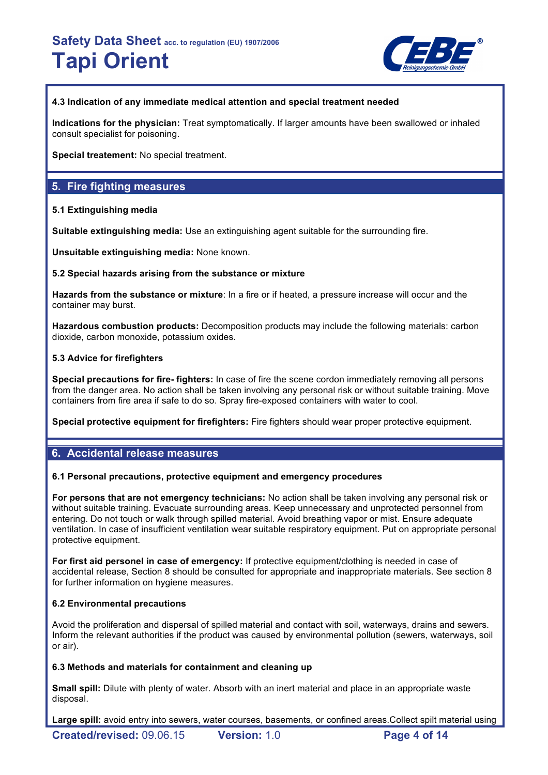

# **4.3 Indication of any immediate medical attention and special treatment needed**

**Indications for the physician:** Treat symptomatically. If larger amounts have been swallowed or inhaled consult specialist for poisoning.

**Special treatement:** No special treatment.

# **5. Fire fighting measures**

# **5.1 Extinguishing media**

**Suitable extinguishing media:** Use an extinguishing agent suitable for the surrounding fire.

**Unsuitable extinguishing media:** None known.

# **5.2 Special hazards arising from the substance or mixture**

**Hazards from the substance or mixture**: In a fire or if heated, a pressure increase will occur and the container may burst.

**Hazardous combustion products:** Decomposition products may include the following materials: carbon dioxide, carbon monoxide, potassium oxides.

# **5.3 Advice for firefighters**

**Special precautions for fire- fighters:** In case of fire the scene cordon immediately removing all persons from the danger area. No action shall be taken involving any personal risk or without suitable training. Move containers from fire area if safe to do so. Spray fire-exposed containers with water to cool.

**Special protective equipment for firefighters:** Fire fighters should wear proper protective equipment.

# **6. Accidental release measures**

## **6.1 Personal precautions, protective equipment and emergency procedures**

**For persons that are not emergency technicians:** No action shall be taken involving any personal risk or without suitable training. Evacuate surrounding areas. Keep unnecessary and unprotected personnel from entering. Do not touch or walk through spilled material. Avoid breathing vapor or mist. Ensure adequate ventilation. In case of insufficient ventilation wear suitable respiratory equipment. Put on appropriate personal protective equipment.

**For first aid personel in case of emergency:** If protective equipment/clothing is needed in case of accidental release, Section 8 should be consulted for appropriate and inappropriate materials. See section 8 for further information on hygiene measures.

# **6.2 Environmental precautions**

Avoid the proliferation and dispersal of spilled material and contact with soil, waterways, drains and sewers. Inform the relevant authorities if the product was caused by environmental pollution (sewers, waterways, soil or air).

## **6.3 Methods and materials for containment and cleaning up**

**Small spill:** Dilute with plenty of water. Absorb with an inert material and place in an appropriate waste disposal.

**Large spill:** avoid entry into sewers, water courses, basements, or confined areas.Collect spilt material using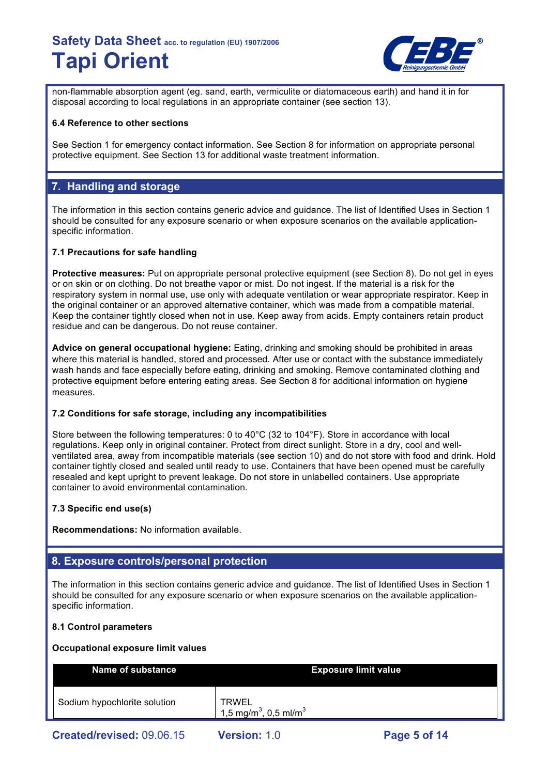

non-flammable absorption agent (eg. sand, earth, vermiculite or diatomaceous earth) and hand it in for disposal according to local regulations in an appropriate container (see section 13).

## **6.4 Reference to other sections**

See Section 1 for emergency contact information. See Section 8 for information on appropriate personal protective equipment. See Section 13 for additional waste treatment information.

# **7. Handling and storage**

The information in this section contains generic advice and guidance. The list of Identified Uses in Section 1 should be consulted for any exposure scenario or when exposure scenarios on the available applicationspecific information.

# **7.1 Precautions for safe handling**

**Protective measures:** Put on appropriate personal protective equipment (see Section 8). Do not get in eyes or on skin or on clothing. Do not breathe vapor or mist. Do not ingest. If the material is a risk for the respiratory system in normal use, use only with adequate ventilation or wear appropriate respirator. Keep in the original container or an approved alternative container, which was made from a compatible material. Keep the container tightly closed when not in use. Keep away from acids. Empty containers retain product residue and can be dangerous. Do not reuse container.

**Advice on general occupational hygiene:** Eating, drinking and smoking should be prohibited in areas where this material is handled, stored and processed. After use or contact with the substance immediately wash hands and face especially before eating, drinking and smoking. Remove contaminated clothing and protective equipment before entering eating areas. See Section 8 for additional information on hygiene measures.

## **7.2 Conditions for safe storage, including any incompatibilities**

Store between the following temperatures: 0 to 40°C (32 to 104°F). Store in accordance with local regulations. Keep only in original container. Protect from direct sunlight. Store in a dry, cool and wellventilated area, away from incompatible materials (see section 10) and do not store with food and drink. Hold container tightly closed and sealed until ready to use. Containers that have been opened must be carefully resealed and kept upright to prevent leakage. Do not store in unlabelled containers. Use appropriate container to avoid environmental contamination.

# **7.3 Specific end use(s)**

**Recommendations:** No information available.

# **8. Exposure controls/personal protection**

The information in this section contains generic advice and guidance. The list of Identified Uses in Section 1 should be consulted for any exposure scenario or when exposure scenarios on the available applicationspecific information.

## **8.1 Control parameters**

## **Occupational exposure limit values**

| <b>Name of substance</b>     |                                                               | <b>Exposure limit value</b> |
|------------------------------|---------------------------------------------------------------|-----------------------------|
| Sodium hypochlorite solution | <b>TRWEL</b><br>1,5 mg/m <sup>3</sup> , 0,5 ml/m <sup>3</sup> |                             |
| Created/revised: 09.06.15    | <b>Version: 1.0</b>                                           | Page 5 of 14                |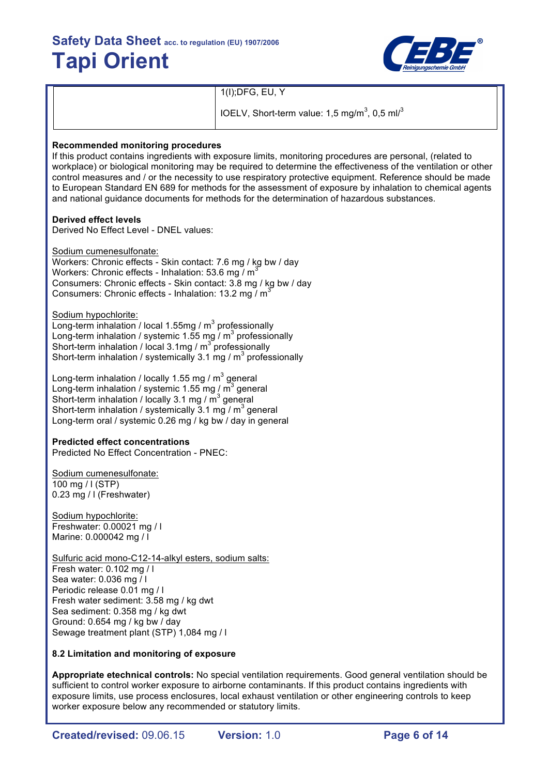

1(I);DFG, EU, Y

IOELV, Short-term value: 1,5 mg/m<sup>3</sup>, 0,5 ml/<sup>3</sup>

### **Recommended monitoring procedures**

If this product contains ingredients with exposure limits, monitoring procedures are personal, (related to workplace) or biological monitoring may be required to determine the effectiveness of the ventilation or other control measures and / or the necessity to use respiratory protective equipment. Reference should be made to European Standard EN 689 for methods for the assessment of exposure by inhalation to chemical agents and national guidance documents for methods for the determination of hazardous substances.

#### **Derived effect levels**

Derived No Effect Level - DNEL values:

Sodium cumenesulfonate:

Workers: Chronic effects - Skin contact: 7.6 mg / kg bw / day Workers: Chronic effects - Inhalation: 53.6 mg /  $m^3$ Consumers: Chronic effects - Skin contact: 3.8 mg / kg bw / day Consumers: Chronic effects - Inhalation: 13.2 mg / m<sup>3</sup>

Sodium hypochlorite:

Long-term inhalation / local 1.55mg /  $m<sup>3</sup>$  professionally Long-term inhalation / systemic 1.55 mg  $/$  m $^3$  professionally Short-term inhalation / local 3.1mg / m<sup>3</sup> professionally Short-term inhalation / systemically 3.1 mg /  $m^3$  professionally

Long-term inhalation / locally 1.55 mg /  $m^3$  general Long-term inhalation / systemic 1.55 mg /  $\overline{m}^3$  general Short-term inhalation / locally 3.1 mg /  $\text{m}^3$  general Short-term inhalation / systemically 3.1 mg /  $m<sup>3</sup>$  general Long-term oral / systemic 0.26 mg / kg bw / day in general

## **Predicted effect concentrations**

Predicted No Effect Concentration - PNEC:

Sodium cumenesulfonate: 100 mg / l (STP) 0.23 mg / l (Freshwater)

Sodium hypochlorite: Freshwater: 0.00021 mg / l Marine: 0.000042 mg / l

Sulfuric acid mono-C12-14-alkyl esters, sodium salts: Fresh water: 0.102 mg / l Sea water: 0.036 mg / l Periodic release 0.01 mg / l Fresh water sediment: 3.58 mg / kg dwt Sea sediment: 0.358 mg / kg dwt Ground: 0.654 mg / kg bw / day Sewage treatment plant (STP) 1,084 mg / l

## **8.2 Limitation and monitoring of exposure**

**Appropriate etechnical controls:** No special ventilation requirements. Good general ventilation should be sufficient to control worker exposure to airborne contaminants. If this product contains ingredients with exposure limits, use process enclosures, local exhaust ventilation or other engineering controls to keep worker exposure below any recommended or statutory limits.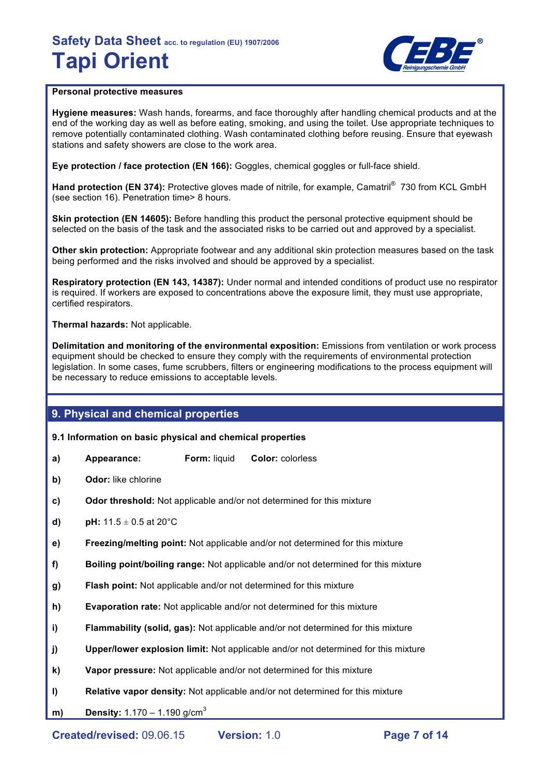

## **Personal protective measures**

**Hygiene measures:** Wash hands, forearms, and face thoroughly after handling chemical products and at the end of the working day as well as before eating, smoking, and using the toilet. Use appropriate techniques to remove potentially contaminated clothing. Wash contaminated clothing before reusing. Ensure that eyewash stations and safety showers are close to the work area.

**Eye protection / face protection (EN 166):** Goggles, chemical goggles or full-face shield.

Hand protection (EN 374): Protective gloves made of nitrile, for example, Camatril<sup>®</sup> 730 from KCL GmbH (see section 16). Penetration time> 8 hours.

**Skin protection (EN 14605):** Before handling this product the personal protective equipment should be selected on the basis of the task and the associated risks to be carried out and approved by a specialist.

**Other skin protection:** Appropriate footwear and any additional skin protection measures based on the task being performed and the risks involved and should be approved by a specialist.

**Respiratory protection (EN 143, 14387):** Under normal and intended conditions of product use no respirator is required. If workers are exposed to concentrations above the exposure limit, they must use appropriate, certified respirators.

**Thermal hazards:** Not applicable.

**Delimitation and monitoring of the environmental exposition:** Emissions from ventilation or work process equipment should be checked to ensure they comply with the requirements of environmental protection legislation. In some cases, fume scrubbers, filters or engineering modifications to the process equipment will be necessary to reduce emissions to acceptable levels.

# **9. Physical and chemical properties**

**9.1 Information on basic physical and chemical properties** 

- **a) Appearance: Form:** liquid **Color:** colorless
- **b) Odor:** like chlorine
- **c) Odor threshold:** Not applicable and/or not determined for this mixture
- **d) pH:**  $11.5 \pm 0.5$  at 20 $^{\circ}$ C
- **e) Freezing/melting point:** Not applicable and/or not determined for this mixture
- **f) Boiling point/boiling range:** Not applicable and/or not determined for this mixture
- **g) Flash point:** Not applicable and/or not determined for this mixture
- **h) Evaporation rate:** Not applicable and/or not determined for this mixture
- **i) Flammability (solid, gas):** Not applicable and/or not determined for this mixture
- **j) Upper/lower explosion limit:** Not applicable and/or not determined for this mixture
- **k) Vapor pressure:** Not applicable and/or not determined for this mixture
- **l) Relative vapor density:** Not applicable and/or not determined for this mixture
- **m) Density:** 1.170 1.190 g/cm<sup>3</sup>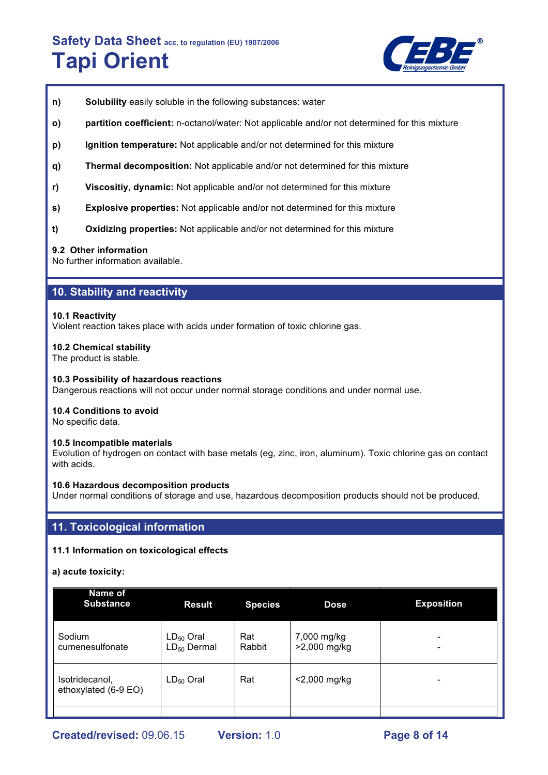

- **n) Solubility** easily soluble in the following substances: water
- **o) partition coefficient:** n-octanol/water: Not applicable and/or not determined for this mixture
- **p) Ignition temperature:** Not applicable and/or not determined for this mixture
- **q) Thermal decomposition:** Not applicable and/or not determined for this mixture
- **r) Viscositiy, dynamic:** Not applicable and/or not determined for this mixture
- **s) Explosive properties:** Not applicable and/or not determined for this mixture
- **t) Oxidizing properties:** Not applicable and/or not determined for this mixture

#### **9.2 Other information**

No further information available.

# **10. Stability and reactivity**

#### **10.1 Reactivity**

Violent reaction takes place with acids under formation of toxic chlorine gas.

#### **10.2 Chemical stability**

The product is stable.

#### **10.3 Possibility of hazardous reactions**

Dangerous reactions will not occur under normal storage conditions and under normal use.

#### **10.4 Conditions to avoid**

No specific data.

#### **10.5 Incompatible materials**

Evolution of hydrogen on contact with base metals (eg, zinc, iron, aluminum). Toxic chlorine gas on contact with acids.

#### **10.6 Hazardous decomposition products**

Under normal conditions of storage and use, hazardous decomposition products should not be produced.

# **11. Toxicological information**

## **11.1 Information on toxicological effects**

#### **a) acute toxicity:**

| Name of<br><b>Substance</b>            | <b>Result</b>                      | <b>Species</b> | <b>Dose</b>                 | <b>Exposition</b> |
|----------------------------------------|------------------------------------|----------------|-----------------------------|-------------------|
| Sodium<br>cumenesulfonate              | $LD_{50}$ Oral<br>$LD_{50}$ Dermal | Rat<br>Rabbit  | 7,000 mg/kg<br>>2,000 mg/kg |                   |
| Isotridecanol,<br>ethoxylated (6-9 EO) | $LD_{50}$ Oral                     | Rat            | $<$ 2,000 mg/kg             |                   |
|                                        |                                    |                |                             |                   |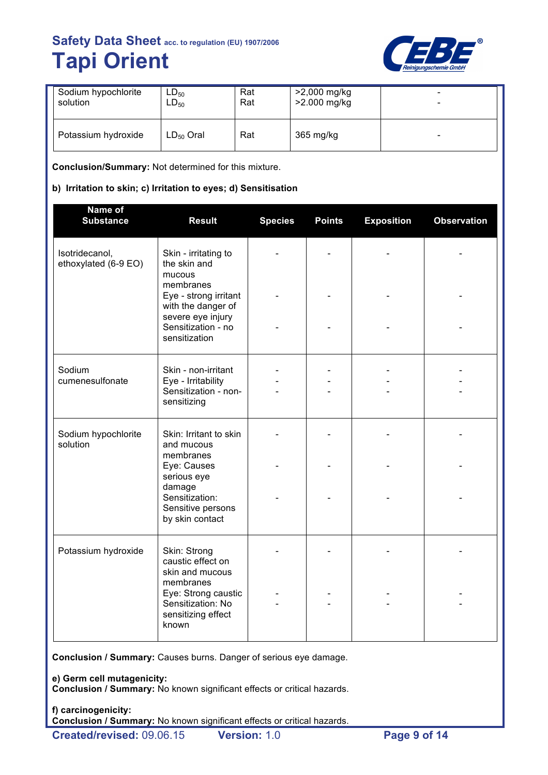

| Sodium hypochlorite | $LD_{50}$      | Rat | >2,000 mg/kg | $\overline{\phantom{0}}$ |
|---------------------|----------------|-----|--------------|--------------------------|
| solution            | $LD_{50}$      | Rat | >2.000 mg/kg | -                        |
| Potassium hydroxide | $LD_{50}$ Oral | Rat | 365 mg/kg    | -                        |

**Conclusion/Summary:** Not determined for this mixture.

# **b) Irritation to skin; c) Irritation to eyes; d) Sensitisation**

| Name of<br><b>Substance</b>            | <b>Result</b>                                                                        | <b>Species</b> | <b>Points</b> | <b>Exposition</b> | <b>Observation</b> |
|----------------------------------------|--------------------------------------------------------------------------------------|----------------|---------------|-------------------|--------------------|
| Isotridecanol,<br>ethoxylated (6-9 EO) | Skin - irritating to<br>the skin and<br>mucous                                       |                |               |                   |                    |
|                                        | membranes<br>Eye - strong irritant<br>with the danger of<br>severe eye injury        |                |               |                   |                    |
|                                        | Sensitization - no<br>sensitization                                                  |                |               |                   |                    |
| Sodium<br>cumenesulfonate              | Skin - non-irritant<br>Eye - Irritability<br>Sensitization - non-                    |                |               |                   |                    |
|                                        | sensitizing                                                                          |                |               |                   |                    |
| Sodium hypochlorite<br>solution        | Skin: Irritant to skin<br>and mucous<br>membranes                                    |                |               |                   |                    |
|                                        | Eye: Causes<br>serious eye<br>damage                                                 |                |               |                   |                    |
|                                        | Sensitization:<br>Sensitive persons<br>by skin contact                               |                |               |                   |                    |
| Potassium hydroxide                    | Skin: Strong<br>caustic effect on<br>skin and mucous                                 |                |               |                   |                    |
|                                        | membranes<br>Eye: Strong caustic<br>Sensitization: No<br>sensitizing effect<br>known |                |               |                   |                    |

**Conclusion / Summary:** Causes burns. Danger of serious eye damage.

**e) Germ cell mutagenicity:**

**Conclusion / Summary:** No known significant effects or critical hazards.

**f) carcinogenicity: Conclusion / Summary:** No known significant effects or critical hazards.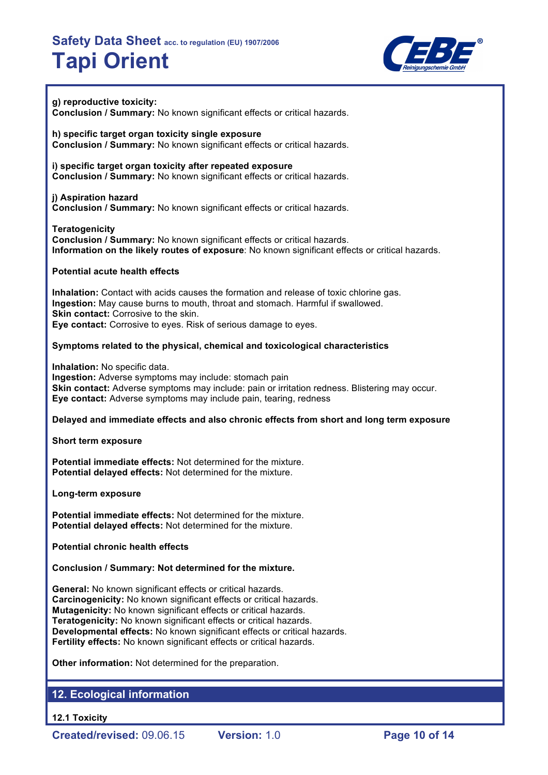

#### **g) reproductive toxicity: Conclusion / Summary:** No known significant effects or critical hazards.

**h) specific target organ toxicity single exposure Conclusion / Summary:** No known significant effects or critical hazards.

**i) specific target organ toxicity after repeated exposure Conclusion / Summary:** No known significant effects or critical hazards.

## **j) Aspiration hazard Conclusion / Summary:** No known significant effects or critical hazards.

**Teratogenicity**

**Conclusion / Summary:** No known significant effects or critical hazards. **Information on the likely routes of exposure**: No known significant effects or critical hazards.

# **Potential acute health effects**

**Inhalation:** Contact with acids causes the formation and release of toxic chlorine gas. **Ingestion:** May cause burns to mouth, throat and stomach. Harmful if swallowed. **Skin contact:** Corrosive to the skin. **Eye contact:** Corrosive to eyes. Risk of serious damage to eyes.

# **Symptoms related to the physical, chemical and toxicological characteristics**

**Inhalation:** No specific data. **Ingestion:** Adverse symptoms may include: stomach pain **Skin contact:** Adverse symptoms may include: pain or irritation redness. Blistering may occur. **Eye contact:** Adverse symptoms may include pain, tearing, redness

## **Delayed and immediate effects and also chronic effects from short and long term exposure**

**Short term exposure**

**Potential immediate effects:** Not determined for the mixture. **Potential delayed effects:** Not determined for the mixture.

**Long-term exposure**

**Potential immediate effects:** Not determined for the mixture. **Potential delayed effects:** Not determined for the mixture.

**Potential chronic health effects**

**Conclusion / Summary: Not determined for the mixture.**

**General:** No known significant effects or critical hazards. **Carcinogenicity:** No known significant effects or critical hazards. **Mutagenicity:** No known significant effects or critical hazards. **Teratogenicity:** No known significant effects or critical hazards. **Developmental effects:** No known significant effects or critical hazards. **Fertility effects:** No known significant effects or critical hazards.

**Other information:** Not determined for the preparation.

# **12. Ecological information**

**12.1 Toxicity**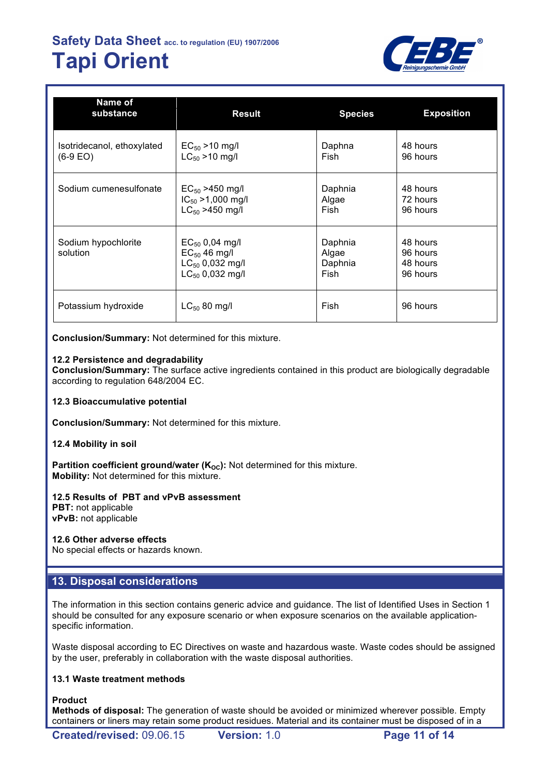

| Name of<br>substance                      | <b>Result</b>                                                                            | <b>Species</b>                      | <b>Exposition</b>                            |
|-------------------------------------------|------------------------------------------------------------------------------------------|-------------------------------------|----------------------------------------------|
| Isotridecanol, ethoxylated<br>$(6-9)$ EO) | $EC_{50} > 10$ mg/l<br>$LC_{50} > 10$ mg/l                                               | Daphna<br>Fish                      | 48 hours<br>96 hours                         |
| Sodium cumenesulfonate                    | $EC_{50}$ >450 mg/l<br>$IC_{50} > 1,000$ mg/l<br>$LC_{50} > 450$ mg/l                    | Daphnia<br>Algae<br>Fish            | 48 hours<br>72 hours<br>96 hours             |
| Sodium hypochlorite<br>solution           | $EC_{50}$ 0,04 mg/l<br>$EC_{50}$ 46 mg/l<br>$LC_{50}$ 0,032 mg/l<br>$LC_{50}$ 0,032 mg/l | Daphnia<br>Algae<br>Daphnia<br>Fish | 48 hours<br>96 hours<br>48 hours<br>96 hours |
| Potassium hydroxide                       | $LC_{50}$ 80 mg/l                                                                        | Fish                                | 96 hours                                     |

**Conclusion/Summary:** Not determined for this mixture.

## **12.2 Persistence and degradability**

**Conclusion/Summary:** The surface active ingredients contained in this product are biologically degradable according to regulation 648/2004 EC.

#### **12.3 Bioaccumulative potential**

**Conclusion/Summary:** Not determined for this mixture.

#### **12.4 Mobility in soil**

**Partition coefficient ground/water (K<sub>oc</sub>):** Not determined for this mixture. **Mobility:** Not determined for this mixture.

## **12.5 Results of PBT and vPvB assessment**

**PBT:** not applicable **vPvB:** not applicable

## **12.6 Other adverse effects**

No special effects or hazards known.

# **13. Disposal considerations**

The information in this section contains generic advice and guidance. The list of Identified Uses in Section 1 should be consulted for any exposure scenario or when exposure scenarios on the available applicationspecific information.

Waste disposal according to EC Directives on waste and hazardous waste. Waste codes should be assigned by the user, preferably in collaboration with the waste disposal authorities.

## **13.1 Waste treatment methods**

#### **Product**

**Methods of disposal:** The generation of waste should be avoided or minimized wherever possible. Empty containers or liners may retain some product residues. Material and its container must be disposed of in a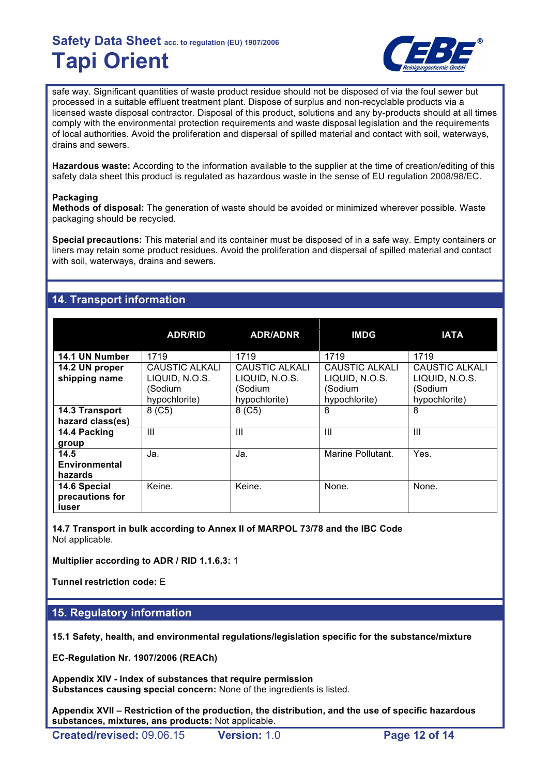

safe way. Significant quantities of waste product residue should not be disposed of via the foul sewer but processed in a suitable effluent treatment plant. Dispose of surplus and non-recyclable products via a licensed waste disposal contractor. Disposal of this product, solutions and any by-products should at all times comply with the environmental protection requirements and waste disposal legislation and the requirements of local authorities. Avoid the proliferation and dispersal of spilled material and contact with soil, waterways, drains and sewers.

**Hazardous waste:** According to the information available to the supplier at the time of creation/editing of this safety data sheet this product is regulated as hazardous waste in the sense of EU regulation 2008/98/EC.

## **Packaging**

**Methods of disposal:** The generation of waste should be avoided or minimized wherever possible. Waste packaging should be recycled.

**Special precautions:** This material and its container must be disposed of in a safe way. Empty containers or liners may retain some product residues. Avoid the proliferation and dispersal of spilled material and contact with soil, waterways, drains and sewers.

# **14. Transport information**

|                                          | <b>ADR/RID</b>                                               | <b>ADR/ADNR</b>                                              | <b>IMDG</b>                                                         | <b>IATA</b>                                                  |
|------------------------------------------|--------------------------------------------------------------|--------------------------------------------------------------|---------------------------------------------------------------------|--------------------------------------------------------------|
| 14.1 UN Number                           | 1719                                                         | 1719                                                         | 1719                                                                | 1719                                                         |
| 14.2 UN proper<br>shipping name          | CAUSTIC ALKALI<br>LIQUID, N.O.S.<br>(Sodium<br>hypochlorite) | CAUSTIC ALKALI<br>LIQUID, N.O.S.<br>(Sodium<br>hypochlorite) | <b>CAUSTIC ALKALI</b><br>LIQUID, N.O.S.<br>(Sodium<br>hypochlorite) | CAUSTIC ALKALI<br>LIQUID, N.O.S.<br>(Sodium<br>hypochlorite) |
| 14.3 Transport<br>hazard class(es)       | 8( C5)                                                       | 8 (C5)                                                       | 8                                                                   | 8                                                            |
| 14.4 Packing<br>group                    | $\mathbf{III}$                                               | Ш                                                            | Ш                                                                   | Ш                                                            |
| 14.5<br>Environmental<br>hazards         | Ja.                                                          | Ja.                                                          | Marine Pollutant.                                                   | Yes.                                                         |
| 14.6 Special<br>precautions for<br>iuser | Keine.                                                       | Keine.                                                       | None.                                                               | None.                                                        |

**14.7 Transport in bulk according to Annex II of MARPOL 73/78 and the IBC Code** Not applicable.

**Multiplier according to ADR / RID 1.1.6.3:** 1

**Tunnel restriction code:** E

## **15. Regulatory information**

**15.1 Safety, health, and environmental regulations/legislation specific for the substance/mixture**

**EC-Regulation Nr. 1907/2006 (REACh)**

**Appendix XIV - Index of substances that require permission Substances causing special concern:** None of the ingredients is listed.

**Appendix XVII – Restriction of the production, the distribution, and the use of specific hazardous substances, mixtures, ans products:** Not applicable.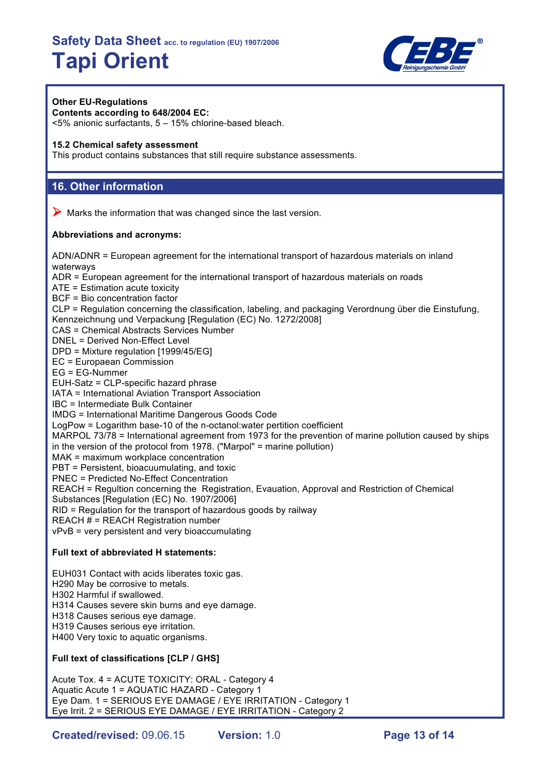

## **Other EU-Regulations**

**Contents according to 648/2004 EC:** <5% anionic surfactants, 5 – 15% chlorine-based bleach.

#### **15.2 Chemical safety assessment**

This product contains substances that still require substance assessments.

# **16. Other information**

 $\triangleright$  Marks the information that was changed since the last version.

#### **Abbreviations and acronyms:**

ADN/ADNR = European agreement for the international transport of hazardous materials on inland waterways ADR = European agreement for the international transport of hazardous materials on roads ATE = Estimation acute toxicity

BCF = Bio concentration factor

CLP = Regulation concerning the classification, labeling, and packaging Verordnung über die Einstufung,

Kennzeichnung und Verpackung [Regulation (EC) No. 1272/2008]

CAS = Chemical Abstracts Services Number

DNEL = Derived Non-Effect Level

DPD = Mixture regulation [1999/45/EG]

EC = Europaean Commission

EG = EG-Nummer

EUH-Satz = CLP-specific hazard phrase

IATA = International Aviation Transport Association

IBC = Intermediate Bulk Container

IMDG = International Maritime Dangerous Goods Code

LogPow = Logarithm base-10 of the n-octanol:water pertition coefficient

MARPOL 73/78 = International agreement from 1973 for the prevention of marine pollution caused by ships

in the version of the protocol from 1978. ("Marpol" = marine pollution)

MAK = maximum workplace concentration

PBT = Persistent, bioacuumulating, and toxic

PNEC = Predicted No-Effect Concentration

REACH = Regultion concerning the Registration, Evauation, Approval and Restriction of Chemical

Substances [Regulation (EC) No. 1907/2006]

RID = Regulation for the transport of hazardous goods by railway

REACH # = REACH Registration number

vPvB = very persistent and very bioaccumulating

## **Full text of abbreviated H statements:**

EUH031 Contact with acids liberates toxic gas. H290 May be corrosive to metals. H302 Harmful if swallowed. H314 Causes severe skin burns and eye damage. H318 Causes serious eye damage. H319 Causes serious eye irritation. H400 Very toxic to aquatic organisms.

## **Full text of classifications [CLP / GHS]**

Acute Tox. 4 = ACUTE TOXICITY: ORAL - Category 4 Aquatic Acute 1 = AQUATIC HAZARD - Category 1 Eye Dam. 1 = SERIOUS EYE DAMAGE / EYE IRRITATION - Category 1 Eye Irrit. 2 = SERIOUS EYE DAMAGE / EYE IRRITATION - Category 2